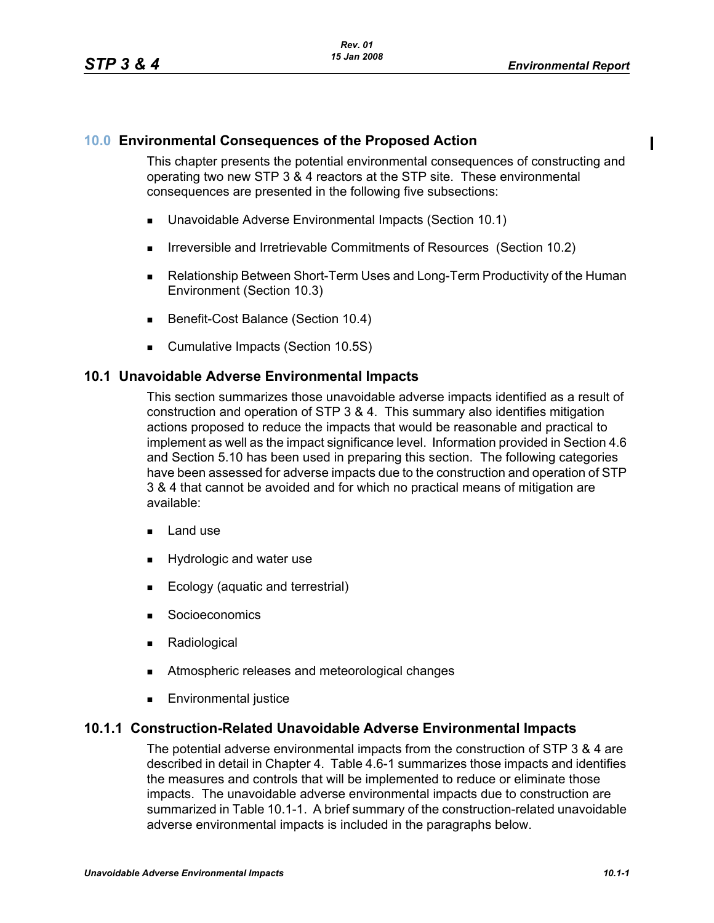#### **10.0 Environmental Consequences of the Proposed Action**

This chapter presents the potential environmental consequences of constructing and operating two new STP 3 & 4 reactors at the STP site. These environmental consequences are presented in the following five subsections:

- Unavoidable Adverse Environmental Impacts (Section 10.1)
- **IFIRE 19.5 Irreversible and Irretrievable Commitments of Resources (Section 10.2)**
- Relationship Between Short-Term Uses and Long-Term Productivity of the Human Environment (Section 10.3)
- Benefit-Cost Balance (Section 10.4)
- **Cumulative Impacts (Section 10.5S)**

#### **10.1 Unavoidable Adverse Environmental Impacts**

This section summarizes those unavoidable adverse impacts identified as a result of construction and operation of STP 3 & 4. This summary also identifies mitigation actions proposed to reduce the impacts that would be reasonable and practical to implement as well as the impact significance level. Information provided in Section 4.6 and Section 5.10 has been used in preparing this section. The following categories have been assessed for adverse impacts due to the construction and operation of STP 3 & 4 that cannot be avoided and for which no practical means of mitigation are available:

- $\blacksquare$  Land use
- **Hydrologic and water use**
- **Ecology (aquatic and terrestrial)**
- **Socioeconomics**
- **Radiological**
- **EXECUTE:** Atmospheric releases and meteorological changes
- **Environmental justice**

#### **10.1.1 Construction-Related Unavoidable Adverse Environmental Impacts**

The potential adverse environmental impacts from the construction of STP 3 & 4 are described in detail in Chapter 4. Table 4.6-1 summarizes those impacts and identifies the measures and controls that will be implemented to reduce or eliminate those impacts. The unavoidable adverse environmental impacts due to construction are summarized in Table 10.1-1. A brief summary of the construction-related unavoidable adverse environmental impacts is included in the paragraphs below.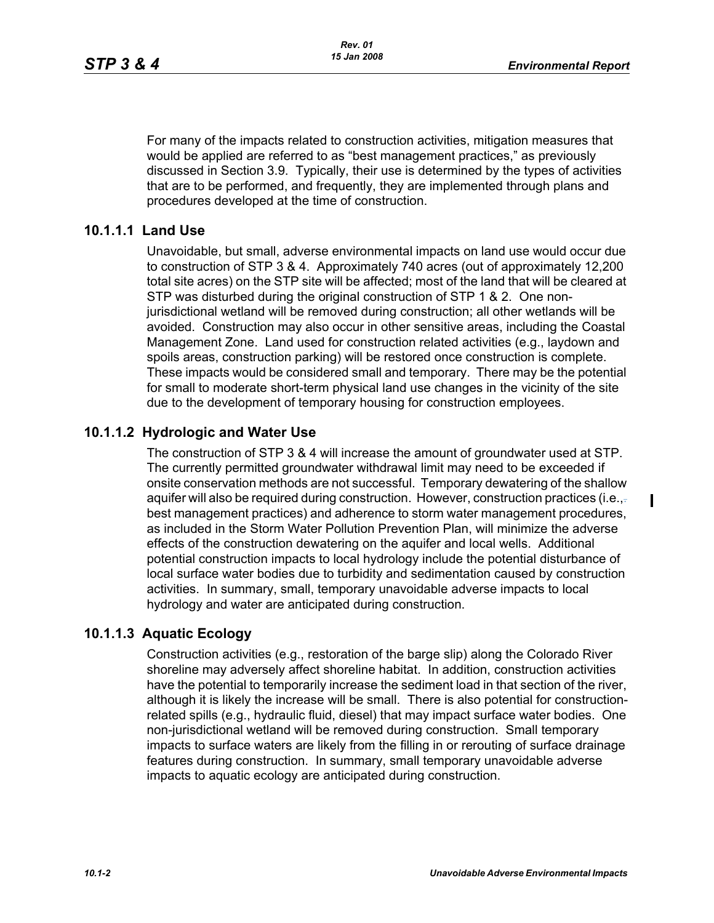$\mathbf{I}$ 

For many of the impacts related to construction activities, mitigation measures that would be applied are referred to as "best management practices," as previously discussed in Section 3.9. Typically, their use is determined by the types of activities that are to be performed, and frequently, they are implemented through plans and procedures developed at the time of construction.

## **10.1.1.1 Land Use**

Unavoidable, but small, adverse environmental impacts on land use would occur due to construction of STP 3 & 4. Approximately 740 acres (out of approximately 12,200 total site acres) on the STP site will be affected; most of the land that will be cleared at STP was disturbed during the original construction of STP 1 & 2. One nonjurisdictional wetland will be removed during construction; all other wetlands will be avoided. Construction may also occur in other sensitive areas, including the Coastal Management Zone. Land used for construction related activities (e.g., laydown and spoils areas, construction parking) will be restored once construction is complete. These impacts would be considered small and temporary. There may be the potential for small to moderate short-term physical land use changes in the vicinity of the site due to the development of temporary housing for construction employees.

# **10.1.1.2 Hydrologic and Water Use**

The construction of STP 3 & 4 will increase the amount of groundwater used at STP. The currently permitted groundwater withdrawal limit may need to be exceeded if onsite conservation methods are not successful. Temporary dewatering of the shallow aquifer will also be required during construction. However, construction practices (i.e., $\frac{1}{2}$ best management practices) and adherence to storm water management procedures, as included in the Storm Water Pollution Prevention Plan, will minimize the adverse effects of the construction dewatering on the aquifer and local wells. Additional potential construction impacts to local hydrology include the potential disturbance of local surface water bodies due to turbidity and sedimentation caused by construction activities. In summary, small, temporary unavoidable adverse impacts to local hydrology and water are anticipated during construction.

## **10.1.1.3 Aquatic Ecology**

Construction activities (e.g., restoration of the barge slip) along the Colorado River shoreline may adversely affect shoreline habitat. In addition, construction activities have the potential to temporarily increase the sediment load in that section of the river, although it is likely the increase will be small. There is also potential for constructionrelated spills (e.g., hydraulic fluid, diesel) that may impact surface water bodies. One non-jurisdictional wetland will be removed during construction. Small temporary impacts to surface waters are likely from the filling in or rerouting of surface drainage features during construction. In summary, small temporary unavoidable adverse impacts to aquatic ecology are anticipated during construction.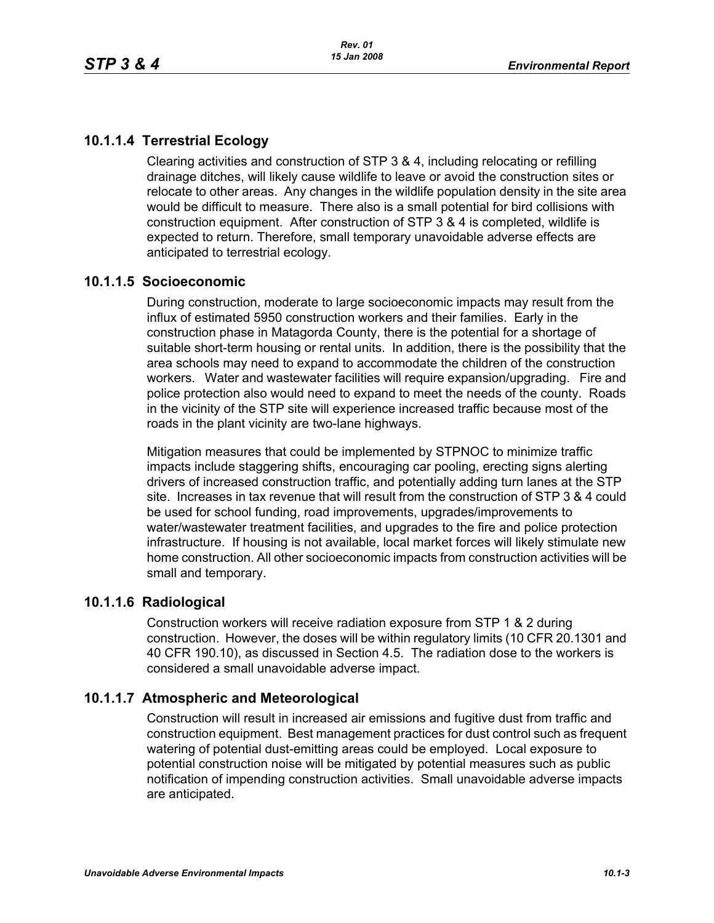# **10.1.1.4 Terrestrial Ecology**

Clearing activities and construction of STP 3 & 4, including relocating or refilling drainage ditches, will likely cause wildlife to leave or avoid the construction sites or relocate to other areas. Any changes in the wildlife population density in the site area would be difficult to measure. There also is a small potential for bird collisions with construction equipment. After construction of STP 3 & 4 is completed, wildlife is expected to return. Therefore, small temporary unavoidable adverse effects are anticipated to terrestrial ecology.

#### **10.1.1.5 Socioeconomic**

During construction, moderate to large socioeconomic impacts may result from the influx of estimated 5950 construction workers and their families. Early in the construction phase in Matagorda County, there is the potential for a shortage of suitable short-term housing or rental units. In addition, there is the possibility that the area schools may need to expand to accommodate the children of the construction workers. Water and wastewater facilities will require expansion/upgrading. Fire and police protection also would need to expand to meet the needs of the county. Roads in the vicinity of the STP site will experience increased traffic because most of the roads in the plant vicinity are two-lane highways.

Mitigation measures that could be implemented by STPNOC to minimize traffic impacts include staggering shifts, encouraging car pooling, erecting signs alerting drivers of increased construction traffic, and potentially adding turn lanes at the STP site. Increases in tax revenue that will result from the construction of STP 3 & 4 could be used for school funding, road improvements, upgrades/improvements to water/wastewater treatment facilities, and upgrades to the fire and police protection infrastructure. If housing is not available, local market forces will likely stimulate new home construction. All other socioeconomic impacts from construction activities will be small and temporary.

#### **10.1.1.6 Radiological**

Construction workers will receive radiation exposure from STP 1 & 2 during construction. However, the doses will be within regulatory limits (10 CFR 20.1301 and 40 CFR 190.10), as discussed in Section 4.5. The radiation dose to the workers is considered a small unavoidable adverse impact.

## **10.1.1.7 Atmospheric and Meteorological**

Construction will result in increased air emissions and fugitive dust from traffic and construction equipment. Best management practices for dust control such as frequent watering of potential dust-emitting areas could be employed. Local exposure to potential construction noise will be mitigated by potential measures such as public notification of impending construction activities. Small unavoidable adverse impacts are anticipated.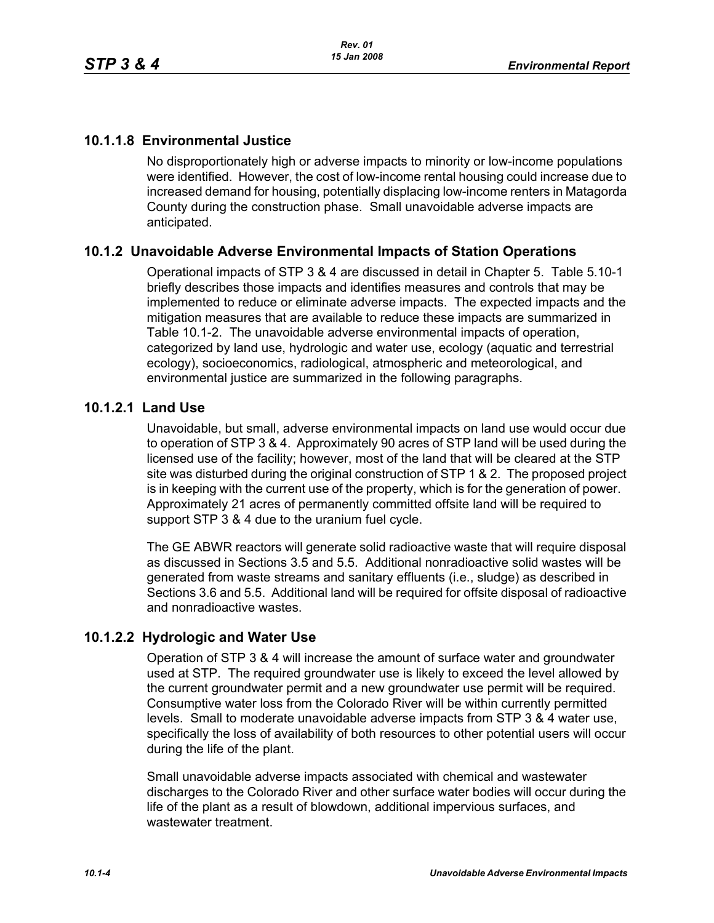# **10.1.1.8 Environmental Justice**

No disproportionately high or adverse impacts to minority or low-income populations were identified. However, the cost of low-income rental housing could increase due to increased demand for housing, potentially displacing low-income renters in Matagorda County during the construction phase. Small unavoidable adverse impacts are anticipated.

## **10.1.2 Unavoidable Adverse Environmental Impacts of Station Operations**

Operational impacts of STP 3 & 4 are discussed in detail in Chapter 5. Table 5.10-1 briefly describes those impacts and identifies measures and controls that may be implemented to reduce or eliminate adverse impacts. The expected impacts and the mitigation measures that are available to reduce these impacts are summarized in Table 10.1-2. The unavoidable adverse environmental impacts of operation, categorized by land use, hydrologic and water use, ecology (aquatic and terrestrial ecology), socioeconomics, radiological, atmospheric and meteorological, and environmental justice are summarized in the following paragraphs.

#### **10.1.2.1 Land Use**

Unavoidable, but small, adverse environmental impacts on land use would occur due to operation of STP 3 & 4. Approximately 90 acres of STP land will be used during the licensed use of the facility; however, most of the land that will be cleared at the STP site was disturbed during the original construction of STP 1 & 2. The proposed project is in keeping with the current use of the property, which is for the generation of power. Approximately 21 acres of permanently committed offsite land will be required to support STP 3 & 4 due to the uranium fuel cycle.

The GE ABWR reactors will generate solid radioactive waste that will require disposal as discussed in Sections 3.5 and 5.5. Additional nonradioactive solid wastes will be generated from waste streams and sanitary effluents (i.e., sludge) as described in Sections 3.6 and 5.5. Additional land will be required for offsite disposal of radioactive and nonradioactive wastes.

## **10.1.2.2 Hydrologic and Water Use**

Operation of STP 3 & 4 will increase the amount of surface water and groundwater used at STP. The required groundwater use is likely to exceed the level allowed by the current groundwater permit and a new groundwater use permit will be required. Consumptive water loss from the Colorado River will be within currently permitted levels. Small to moderate unavoidable adverse impacts from STP 3 & 4 water use, specifically the loss of availability of both resources to other potential users will occur during the life of the plant.

Small unavoidable adverse impacts associated with chemical and wastewater discharges to the Colorado River and other surface water bodies will occur during the life of the plant as a result of blowdown, additional impervious surfaces, and wastewater treatment.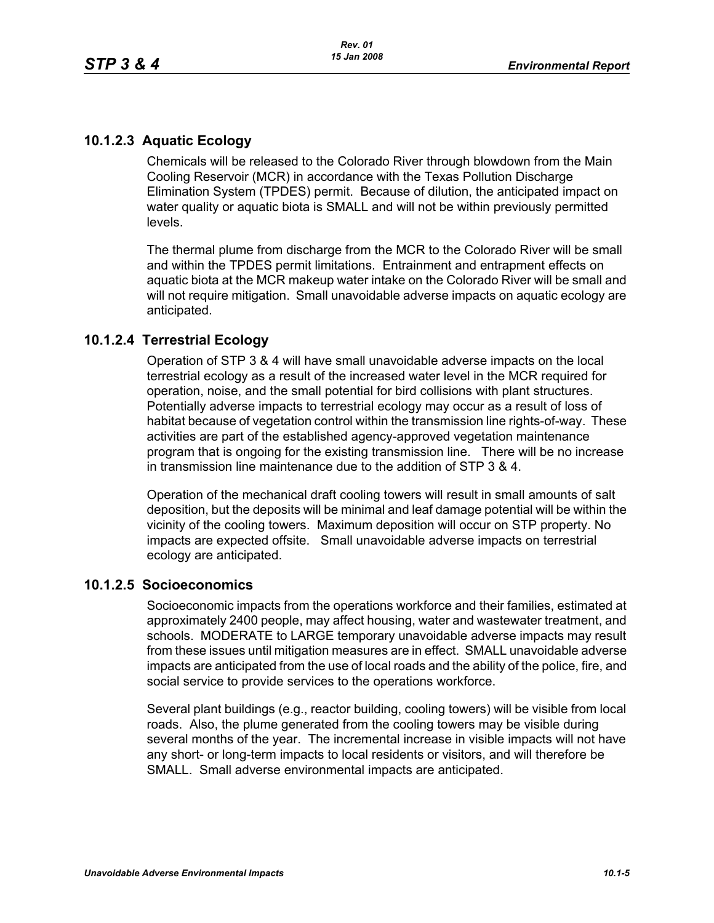## **10.1.2.3 Aquatic Ecology**

Chemicals will be released to the Colorado River through blowdown from the Main Cooling Reservoir (MCR) in accordance with the Texas Pollution Discharge Elimination System (TPDES) permit. Because of dilution, the anticipated impact on water quality or aquatic biota is SMALL and will not be within previously permitted levels.

The thermal plume from discharge from the MCR to the Colorado River will be small and within the TPDES permit limitations. Entrainment and entrapment effects on aquatic biota at the MCR makeup water intake on the Colorado River will be small and will not require mitigation. Small unavoidable adverse impacts on aquatic ecology are anticipated.

## **10.1.2.4 Terrestrial Ecology**

Operation of STP 3 & 4 will have small unavoidable adverse impacts on the local terrestrial ecology as a result of the increased water level in the MCR required for operation, noise, and the small potential for bird collisions with plant structures. Potentially adverse impacts to terrestrial ecology may occur as a result of loss of habitat because of vegetation control within the transmission line rights-of-way. These activities are part of the established agency-approved vegetation maintenance program that is ongoing for the existing transmission line. There will be no increase in transmission line maintenance due to the addition of STP 3 & 4.

Operation of the mechanical draft cooling towers will result in small amounts of salt deposition, but the deposits will be minimal and leaf damage potential will be within the vicinity of the cooling towers. Maximum deposition will occur on STP property. No impacts are expected offsite. Small unavoidable adverse impacts on terrestrial ecology are anticipated.

## **10.1.2.5 Socioeconomics**

Socioeconomic impacts from the operations workforce and their families, estimated at approximately 2400 people, may affect housing, water and wastewater treatment, and schools. MODERATE to LARGE temporary unavoidable adverse impacts may result from these issues until mitigation measures are in effect. SMALL unavoidable adverse impacts are anticipated from the use of local roads and the ability of the police, fire, and social service to provide services to the operations workforce.

Several plant buildings (e.g., reactor building, cooling towers) will be visible from local roads. Also, the plume generated from the cooling towers may be visible during several months of the year. The incremental increase in visible impacts will not have any short- or long-term impacts to local residents or visitors, and will therefore be SMALL. Small adverse environmental impacts are anticipated.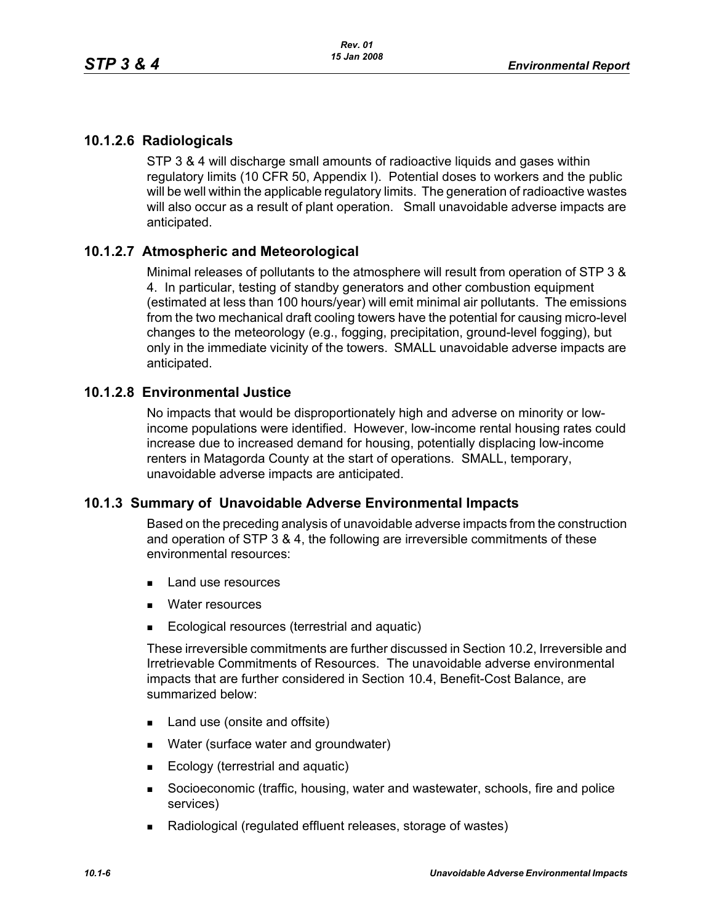# **10.1.2.6 Radiologicals**

STP 3 & 4 will discharge small amounts of radioactive liquids and gases within regulatory limits (10 CFR 50, Appendix I). Potential doses to workers and the public will be well within the applicable regulatory limits. The generation of radioactive wastes will also occur as a result of plant operation. Small unavoidable adverse impacts are anticipated.

## **10.1.2.7 Atmospheric and Meteorological**

Minimal releases of pollutants to the atmosphere will result from operation of STP 3 & 4. In particular, testing of standby generators and other combustion equipment (estimated at less than 100 hours/year) will emit minimal air pollutants. The emissions from the two mechanical draft cooling towers have the potential for causing micro-level changes to the meteorology (e.g., fogging, precipitation, ground-level fogging), but only in the immediate vicinity of the towers. SMALL unavoidable adverse impacts are anticipated.

## **10.1.2.8 Environmental Justice**

No impacts that would be disproportionately high and adverse on minority or lowincome populations were identified. However, low-income rental housing rates could increase due to increased demand for housing, potentially displacing low-income renters in Matagorda County at the start of operations. SMALL, temporary, unavoidable adverse impacts are anticipated.

## **10.1.3 Summary of Unavoidable Adverse Environmental Impacts**

Based on the preceding analysis of unavoidable adverse impacts from the construction and operation of STP 3 & 4, the following are irreversible commitments of these environmental resources:

- **Land use resources**
- **Nater resources**
- Ecological resources (terrestrial and aquatic)

These irreversible commitments are further discussed in Section 10.2, Irreversible and Irretrievable Commitments of Resources. The unavoidable adverse environmental impacts that are further considered in Section 10.4, Benefit-Cost Balance, are summarized below:

- Land use (onsite and offsite)
- **Nater (surface water and groundwater)**
- Ecology (terrestrial and aquatic)
- Socioeconomic (traffic, housing, water and wastewater, schools, fire and police services)
- Radiological (regulated effluent releases, storage of wastes)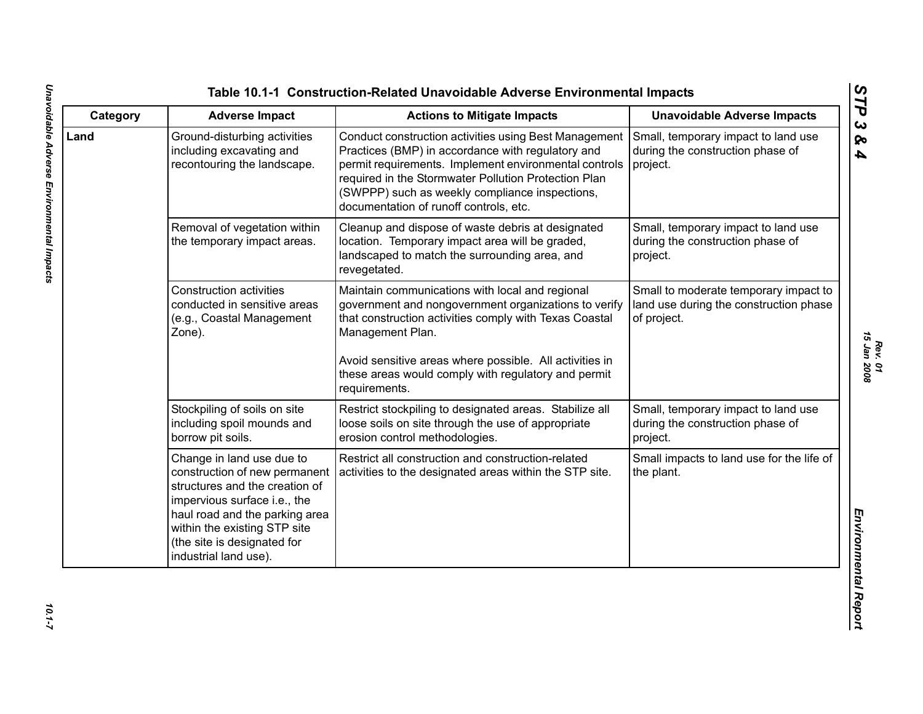| Category | <b>Adverse Impact</b>                                                                                                                                                                                                                                  | <b>Actions to Mitigate Impacts</b>                                                                                                                                                                                                                                                                                       | <b>Unavoidable Adverse Impacts</b>                                                             |
|----------|--------------------------------------------------------------------------------------------------------------------------------------------------------------------------------------------------------------------------------------------------------|--------------------------------------------------------------------------------------------------------------------------------------------------------------------------------------------------------------------------------------------------------------------------------------------------------------------------|------------------------------------------------------------------------------------------------|
| Land     | Ground-disturbing activities<br>including excavating and<br>recontouring the landscape.                                                                                                                                                                | Conduct construction activities using Best Management<br>Practices (BMP) in accordance with regulatory and<br>permit requirements. Implement environmental controls<br>required in the Stormwater Pollution Protection Plan<br>(SWPPP) such as weekly compliance inspections,<br>documentation of runoff controls, etc.  | Small, temporary impact to land use<br>during the construction phase of<br>project.            |
|          | Removal of vegetation within<br>the temporary impact areas.                                                                                                                                                                                            | Cleanup and dispose of waste debris at designated<br>location. Temporary impact area will be graded,<br>landscaped to match the surrounding area, and<br>revegetated.                                                                                                                                                    | Small, temporary impact to land use<br>during the construction phase of<br>project.            |
|          | <b>Construction activities</b><br>conducted in sensitive areas<br>(e.g., Coastal Management<br>Zone).                                                                                                                                                  | Maintain communications with local and regional<br>government and nongovernment organizations to verify<br>that construction activities comply with Texas Coastal<br>Management Plan.<br>Avoid sensitive areas where possible. All activities in<br>these areas would comply with regulatory and permit<br>requirements. | Small to moderate temporary impact to<br>land use during the construction phase<br>of project. |
|          | Stockpiling of soils on site<br>including spoil mounds and<br>borrow pit soils.                                                                                                                                                                        | Restrict stockpiling to designated areas. Stabilize all<br>loose soils on site through the use of appropriate<br>erosion control methodologies.                                                                                                                                                                          | Small, temporary impact to land use<br>during the construction phase of<br>project.            |
|          | Change in land use due to<br>construction of new permanent<br>structures and the creation of<br>impervious surface i.e., the<br>haul road and the parking area<br>within the existing STP site<br>(the site is designated for<br>industrial land use). | Restrict all construction and construction-related<br>activities to the designated areas within the STP site.                                                                                                                                                                                                            | Small impacts to land use for the life of<br>the plant.                                        |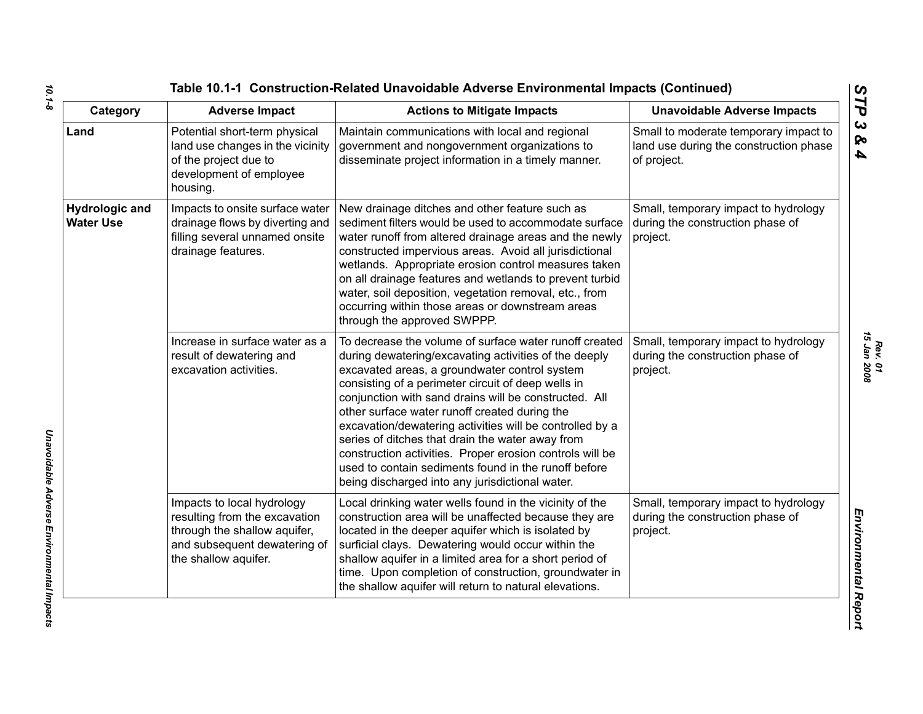| Category                                  | <b>Adverse Impact</b>                                                                                                                               | <b>Actions to Mitigate Impacts</b>                                                                                                                                                                                                                                                                                                                                                                                                                                                                                                                                                                                      | <b>Unavoidable Adverse Impacts</b>                                                             |
|-------------------------------------------|-----------------------------------------------------------------------------------------------------------------------------------------------------|-------------------------------------------------------------------------------------------------------------------------------------------------------------------------------------------------------------------------------------------------------------------------------------------------------------------------------------------------------------------------------------------------------------------------------------------------------------------------------------------------------------------------------------------------------------------------------------------------------------------------|------------------------------------------------------------------------------------------------|
| Land                                      | Potential short-term physical<br>land use changes in the vicinity<br>of the project due to<br>development of employee<br>housing.                   | Maintain communications with local and regional<br>government and nongovernment organizations to<br>disseminate project information in a timely manner.                                                                                                                                                                                                                                                                                                                                                                                                                                                                 | Small to moderate temporary impact to<br>land use during the construction phase<br>of project. |
| <b>Hydrologic and</b><br><b>Water Use</b> | Impacts to onsite surface water<br>drainage flows by diverting and<br>filling several unnamed onsite<br>drainage features.                          | New drainage ditches and other feature such as<br>sediment filters would be used to accommodate surface<br>water runoff from altered drainage areas and the newly<br>constructed impervious areas. Avoid all jurisdictional<br>wetlands. Appropriate erosion control measures taken<br>on all drainage features and wetlands to prevent turbid<br>water, soil deposition, vegetation removal, etc., from<br>occurring within those areas or downstream areas<br>through the approved SWPPP.                                                                                                                             | Small, temporary impact to hydrology<br>during the construction phase of<br>project.           |
|                                           | Increase in surface water as a<br>result of dewatering and<br>excavation activities.                                                                | To decrease the volume of surface water runoff created<br>during dewatering/excavating activities of the deeply<br>excavated areas, a groundwater control system<br>consisting of a perimeter circuit of deep wells in<br>conjunction with sand drains will be constructed. All<br>other surface water runoff created during the<br>excavation/dewatering activities will be controlled by a<br>series of ditches that drain the water away from<br>construction activities. Proper erosion controls will be<br>used to contain sediments found in the runoff before<br>being discharged into any jurisdictional water. | Small, temporary impact to hydrology<br>during the construction phase of<br>project.           |
|                                           | Impacts to local hydrology<br>resulting from the excavation<br>through the shallow aquifer,<br>and subsequent dewatering of<br>the shallow aquifer. | Local drinking water wells found in the vicinity of the<br>construction area will be unaffected because they are<br>located in the deeper aquifer which is isolated by<br>surficial clays. Dewatering would occur within the<br>shallow aquifer in a limited area for a short period of<br>time. Upon completion of construction, groundwater in<br>the shallow aquifer will return to natural elevations.                                                                                                                                                                                                              | Small, temporary impact to hydrology<br>during the construction phase of<br>project.           |

*Unavoidable Adverse Environmental Impacts* 

Unavoidable Adverse Environmental Impacts

*Rev. 01*<br>15 Jan 2008 *15 Jan 2008*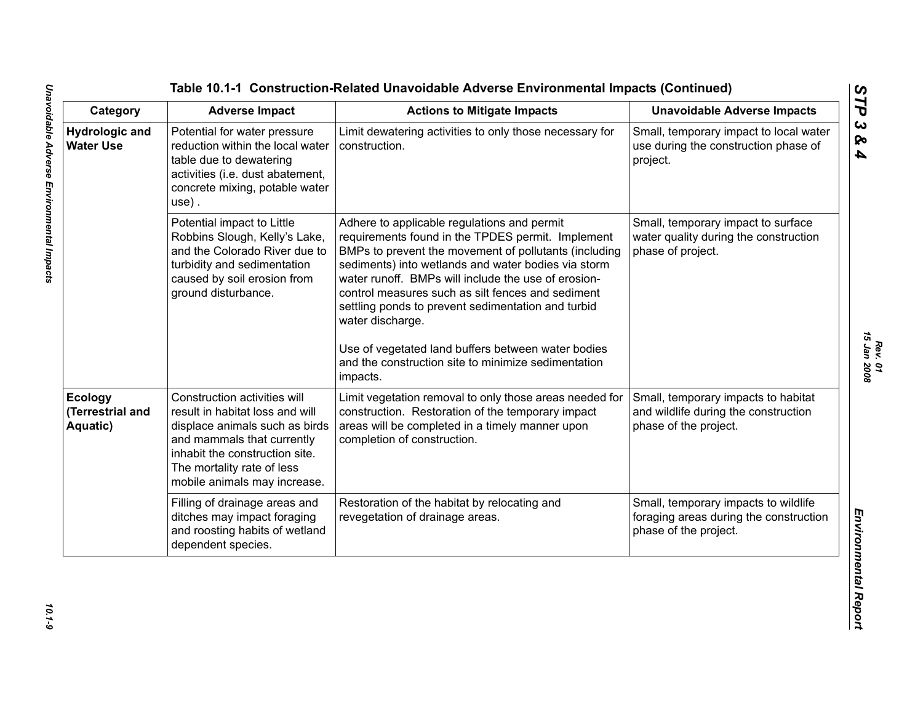| Category                                       | <b>Adverse Impact</b>                                                                                                                                                                                                           | <b>Actions to Mitigate Impacts</b>                                                                                                                                                                                                                                                                                                                                                                                                                                                                                              | <b>Unavoidable Adverse Impacts</b>                                                                      |
|------------------------------------------------|---------------------------------------------------------------------------------------------------------------------------------------------------------------------------------------------------------------------------------|---------------------------------------------------------------------------------------------------------------------------------------------------------------------------------------------------------------------------------------------------------------------------------------------------------------------------------------------------------------------------------------------------------------------------------------------------------------------------------------------------------------------------------|---------------------------------------------------------------------------------------------------------|
| <b>Hydrologic and</b><br><b>Water Use</b>      | Potential for water pressure<br>reduction within the local water<br>table due to dewatering<br>activities (i.e. dust abatement,<br>concrete mixing, potable water<br>use).                                                      | Limit dewatering activities to only those necessary for<br>construction.                                                                                                                                                                                                                                                                                                                                                                                                                                                        | Small, temporary impact to local water<br>use during the construction phase of<br>project.              |
|                                                | Potential impact to Little<br>Robbins Slough, Kelly's Lake,<br>and the Colorado River due to<br>turbidity and sedimentation<br>caused by soil erosion from<br>ground disturbance.                                               | Adhere to applicable regulations and permit<br>requirements found in the TPDES permit. Implement<br>BMPs to prevent the movement of pollutants (including<br>sediments) into wetlands and water bodies via storm<br>water runoff. BMPs will include the use of erosion-<br>control measures such as silt fences and sediment<br>settling ponds to prevent sedimentation and turbid<br>water discharge.<br>Use of vegetated land buffers between water bodies<br>and the construction site to minimize sedimentation<br>impacts. | Small, temporary impact to surface<br>water quality during the construction<br>phase of project.        |
| <b>Ecology</b><br>(Terrestrial and<br>Aquatic) | Construction activities will<br>result in habitat loss and will<br>displace animals such as birds<br>and mammals that currently<br>inhabit the construction site.<br>The mortality rate of less<br>mobile animals may increase. | Limit vegetation removal to only those areas needed for<br>construction. Restoration of the temporary impact<br>areas will be completed in a timely manner upon<br>completion of construction.                                                                                                                                                                                                                                                                                                                                  | Small, temporary impacts to habitat<br>and wildlife during the construction<br>phase of the project.    |
|                                                | Filling of drainage areas and<br>ditches may impact foraging<br>and roosting habits of wetland<br>dependent species.                                                                                                            | Restoration of the habitat by relocating and<br>revegetation of drainage areas.                                                                                                                                                                                                                                                                                                                                                                                                                                                 | Small, temporary impacts to wildlife<br>foraging areas during the construction<br>phase of the project. |

*STP 3 & 4*

 $10.1 - 9$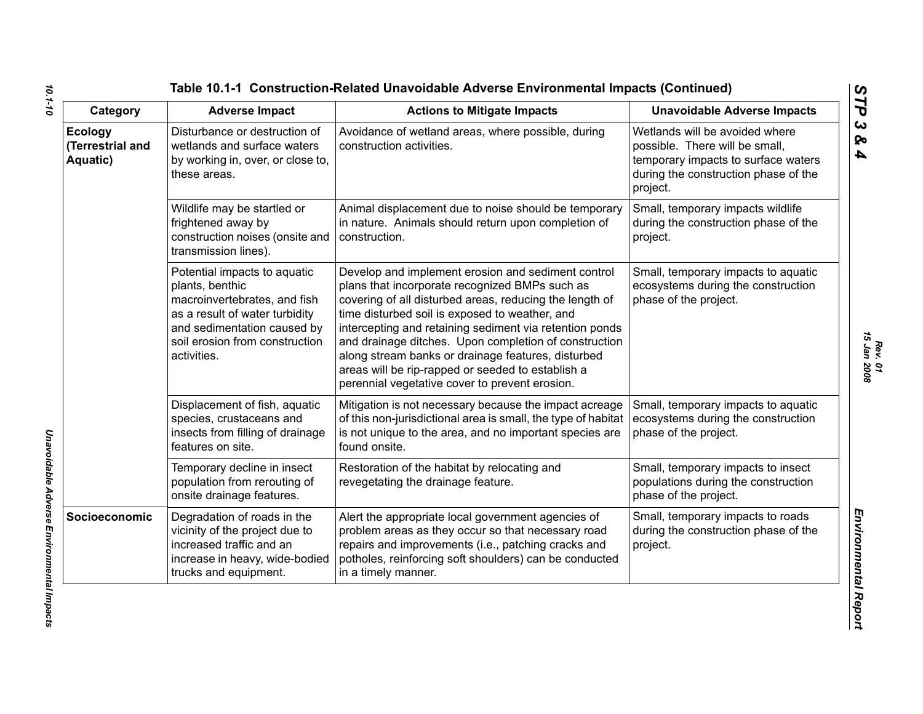| Category                                       | <b>Adverse Impact</b>                                                                                                                                                                             | <b>Actions to Mitigate Impacts</b>                                                                                                                                                                                                                                                                                                                                                                                                                                                                 | <b>Unavoidable Adverse Impacts</b>                                                                                                                          |
|------------------------------------------------|---------------------------------------------------------------------------------------------------------------------------------------------------------------------------------------------------|----------------------------------------------------------------------------------------------------------------------------------------------------------------------------------------------------------------------------------------------------------------------------------------------------------------------------------------------------------------------------------------------------------------------------------------------------------------------------------------------------|-------------------------------------------------------------------------------------------------------------------------------------------------------------|
| <b>Ecology</b><br>(Terrestrial and<br>Aquatic) | Disturbance or destruction of<br>wetlands and surface waters<br>by working in, over, or close to,<br>these areas.                                                                                 | Avoidance of wetland areas, where possible, during<br>construction activities.                                                                                                                                                                                                                                                                                                                                                                                                                     | Wetlands will be avoided where<br>possible. There will be small,<br>temporary impacts to surface waters<br>during the construction phase of the<br>project. |
|                                                | Wildlife may be startled or<br>frightened away by<br>construction noises (onsite and<br>transmission lines).                                                                                      | Animal displacement due to noise should be temporary<br>in nature. Animals should return upon completion of<br>construction.                                                                                                                                                                                                                                                                                                                                                                       | Small, temporary impacts wildlife<br>during the construction phase of the<br>project.                                                                       |
|                                                | Potential impacts to aquatic<br>plants, benthic<br>macroinvertebrates, and fish<br>as a result of water turbidity<br>and sedimentation caused by<br>soil erosion from construction<br>activities. | Develop and implement erosion and sediment control<br>plans that incorporate recognized BMPs such as<br>covering of all disturbed areas, reducing the length of<br>time disturbed soil is exposed to weather, and<br>intercepting and retaining sediment via retention ponds<br>and drainage ditches. Upon completion of construction<br>along stream banks or drainage features, disturbed<br>areas will be rip-rapped or seeded to establish a<br>perennial vegetative cover to prevent erosion. | Small, temporary impacts to aquatic<br>ecosystems during the construction<br>phase of the project.                                                          |
|                                                | Displacement of fish, aquatic<br>species, crustaceans and<br>insects from filling of drainage<br>features on site.                                                                                | Mitigation is not necessary because the impact acreage<br>of this non-jurisdictional area is small, the type of habitat<br>is not unique to the area, and no important species are<br>found onsite.                                                                                                                                                                                                                                                                                                | Small, temporary impacts to aquatic<br>ecosystems during the construction<br>phase of the project.                                                          |
|                                                | Temporary decline in insect<br>population from rerouting of<br>onsite drainage features.                                                                                                          | Restoration of the habitat by relocating and<br>revegetating the drainage feature.                                                                                                                                                                                                                                                                                                                                                                                                                 | Small, temporary impacts to insect<br>populations during the construction<br>phase of the project.                                                          |
| Socioeconomic                                  | Degradation of roads in the<br>vicinity of the project due to<br>increased traffic and an<br>increase in heavy, wide-bodied<br>trucks and equipment.                                              | Alert the appropriate local government agencies of<br>problem areas as they occur so that necessary road<br>repairs and improvements (i.e., patching cracks and<br>potholes, reinforcing soft shoulders) can be conducted<br>in a timely manner.                                                                                                                                                                                                                                                   | Small, temporary impacts to roads<br>during the construction phase of the<br>project.                                                                       |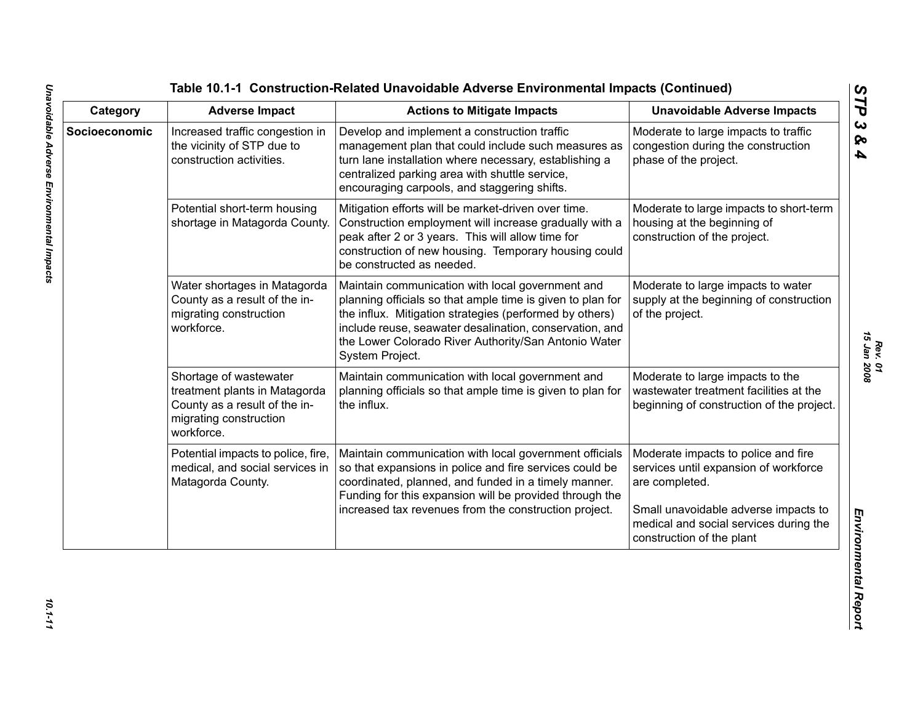| Category      | <b>Adverse Impact</b>                                                                                                            | <b>Actions to Mitigate Impacts</b>                                                                                                                                                                                                                                                                              | <b>Unavoidable Adverse Impacts</b>                                                                                                                                                                            |
|---------------|----------------------------------------------------------------------------------------------------------------------------------|-----------------------------------------------------------------------------------------------------------------------------------------------------------------------------------------------------------------------------------------------------------------------------------------------------------------|---------------------------------------------------------------------------------------------------------------------------------------------------------------------------------------------------------------|
| Socioeconomic | Increased traffic congestion in<br>the vicinity of STP due to<br>construction activities.                                        | Develop and implement a construction traffic<br>management plan that could include such measures as<br>turn lane installation where necessary, establishing a<br>centralized parking area with shuttle service,<br>encouraging carpools, and staggering shifts.                                                 | Moderate to large impacts to traffic<br>congestion during the construction<br>phase of the project.                                                                                                           |
|               | Potential short-term housing<br>shortage in Matagorda County.                                                                    | Mitigation efforts will be market-driven over time.<br>Construction employment will increase gradually with a<br>peak after 2 or 3 years. This will allow time for<br>construction of new housing. Temporary housing could<br>be constructed as needed.                                                         | Moderate to large impacts to short-term<br>housing at the beginning of<br>construction of the project.                                                                                                        |
|               | Water shortages in Matagorda<br>County as a result of the in-<br>migrating construction<br>workforce.                            | Maintain communication with local government and<br>planning officials so that ample time is given to plan for<br>the influx. Mitigation strategies (performed by others)<br>include reuse, seawater desalination, conservation, and<br>the Lower Colorado River Authority/San Antonio Water<br>System Project. | Moderate to large impacts to water<br>supply at the beginning of construction<br>of the project.                                                                                                              |
|               | Shortage of wastewater<br>treatment plants in Matagorda<br>County as a result of the in-<br>migrating construction<br>workforce. | Maintain communication with local government and<br>planning officials so that ample time is given to plan for<br>the influx.                                                                                                                                                                                   | Moderate to large impacts to the<br>wastewater treatment facilities at the<br>beginning of construction of the project.                                                                                       |
|               | Potential impacts to police, fire,<br>medical, and social services in<br>Matagorda County.                                       | Maintain communication with local government officials<br>so that expansions in police and fire services could be<br>coordinated, planned, and funded in a timely manner.<br>Funding for this expansion will be provided through the<br>increased tax revenues from the construction project.                   | Moderate impacts to police and fire<br>services until expansion of workforce<br>are completed.<br>Small unavoidable adverse impacts to<br>medical and social services during the<br>construction of the plant |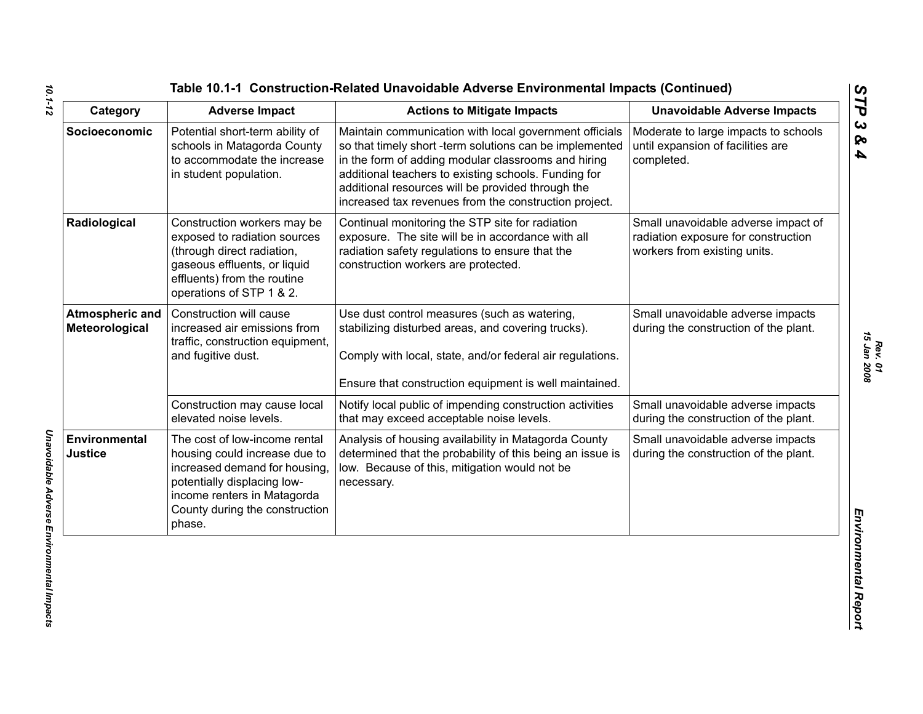| Table 10.1-1 Construction-Related Unavoidable Adverse Environmental Impacts (Continued |  |  |  |  |  |  |  |
|----------------------------------------------------------------------------------------|--|--|--|--|--|--|--|
|----------------------------------------------------------------------------------------|--|--|--|--|--|--|--|

| Category                          | <b>Adverse Impact</b>                                                                                                                                                                                     | <b>Actions to Mitigate Impacts</b>                                                                                                                                                                                                                                                                                                             | <b>Unavoidable Adverse Impacts</b>                                                                         |
|-----------------------------------|-----------------------------------------------------------------------------------------------------------------------------------------------------------------------------------------------------------|------------------------------------------------------------------------------------------------------------------------------------------------------------------------------------------------------------------------------------------------------------------------------------------------------------------------------------------------|------------------------------------------------------------------------------------------------------------|
| Socioeconomic                     | Potential short-term ability of<br>schools in Matagorda County<br>to accommodate the increase<br>in student population.                                                                                   | Maintain communication with local government officials<br>so that timely short -term solutions can be implemented<br>in the form of adding modular classrooms and hiring<br>additional teachers to existing schools. Funding for<br>additional resources will be provided through the<br>increased tax revenues from the construction project. | Moderate to large impacts to schools<br>until expansion of facilities are<br>completed.                    |
| Radiological                      | Construction workers may be<br>exposed to radiation sources<br>(through direct radiation,<br>gaseous effluents, or liquid<br>effluents) from the routine<br>operations of STP 1 & 2.                      | Continual monitoring the STP site for radiation<br>exposure. The site will be in accordance with all<br>radiation safety regulations to ensure that the<br>construction workers are protected.                                                                                                                                                 | Small unavoidable adverse impact of<br>radiation exposure for construction<br>workers from existing units. |
| Atmospheric and<br>Meteorological | Construction will cause<br>increased air emissions from<br>traffic, construction equipment,<br>and fugitive dust.                                                                                         | Use dust control measures (such as watering,<br>stabilizing disturbed areas, and covering trucks).<br>Comply with local, state, and/or federal air regulations.<br>Ensure that construction equipment is well maintained.                                                                                                                      | Small unavoidable adverse impacts<br>during the construction of the plant.                                 |
|                                   | Construction may cause local<br>elevated noise levels.                                                                                                                                                    | Notify local public of impending construction activities<br>that may exceed acceptable noise levels.                                                                                                                                                                                                                                           | Small unavoidable adverse impacts<br>during the construction of the plant.                                 |
| Environmental<br><b>Justice</b>   | The cost of low-income rental<br>housing could increase due to<br>increased demand for housing,<br>potentially displacing low-<br>income renters in Matagorda<br>County during the construction<br>phase. | Analysis of housing availability in Matagorda County<br>determined that the probability of this being an issue is<br>low. Because of this, mitigation would not be<br>necessary.                                                                                                                                                               | Small unavoidable adverse impacts<br>during the construction of the plant.                                 |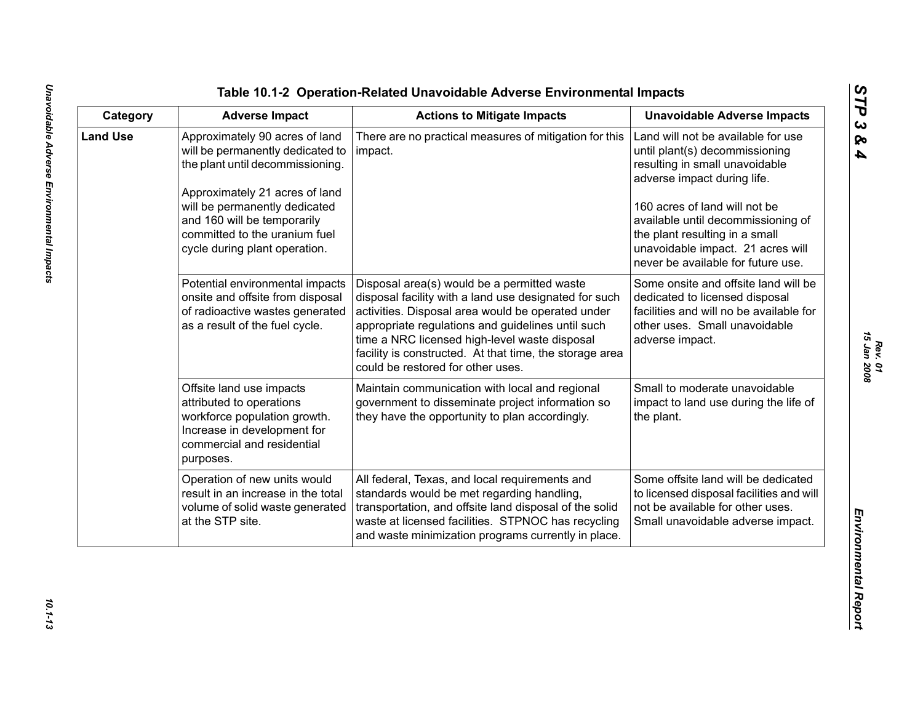| Category        | <b>Adverse Impact</b>                                                                                                                                                                                                                                                      | <b>Actions to Mitigate Impacts</b>                                                                                                                                                                                                                                                                                                                              | <b>Unavoidable Adverse Impacts</b>                                                                                                                                                                                                                                                                                        |
|-----------------|----------------------------------------------------------------------------------------------------------------------------------------------------------------------------------------------------------------------------------------------------------------------------|-----------------------------------------------------------------------------------------------------------------------------------------------------------------------------------------------------------------------------------------------------------------------------------------------------------------------------------------------------------------|---------------------------------------------------------------------------------------------------------------------------------------------------------------------------------------------------------------------------------------------------------------------------------------------------------------------------|
| <b>Land Use</b> | Approximately 90 acres of land<br>will be permanently dedicated to<br>the plant until decommissioning.<br>Approximately 21 acres of land<br>will be permanently dedicated<br>and 160 will be temporarily<br>committed to the uranium fuel<br>cycle during plant operation. | There are no practical measures of mitigation for this<br>impact.                                                                                                                                                                                                                                                                                               | Land will not be available for use<br>until plant(s) decommissioning<br>resulting in small unavoidable<br>adverse impact during life.<br>160 acres of land will not be<br>available until decommissioning of<br>the plant resulting in a small<br>unavoidable impact. 21 acres will<br>never be available for future use. |
|                 | Potential environmental impacts<br>onsite and offsite from disposal<br>of radioactive wastes generated<br>as a result of the fuel cycle.                                                                                                                                   | Disposal area(s) would be a permitted waste<br>disposal facility with a land use designated for such<br>activities. Disposal area would be operated under<br>appropriate regulations and guidelines until such<br>time a NRC licensed high-level waste disposal<br>facility is constructed. At that time, the storage area<br>could be restored for other uses. | Some onsite and offsite land will be<br>dedicated to licensed disposal<br>facilities and will no be available for<br>other uses. Small unavoidable<br>adverse impact.                                                                                                                                                     |
|                 | Offsite land use impacts<br>attributed to operations<br>workforce population growth.<br>Increase in development for<br>commercial and residential<br>purposes.                                                                                                             | Maintain communication with local and regional<br>government to disseminate project information so<br>they have the opportunity to plan accordingly.                                                                                                                                                                                                            | Small to moderate unavoidable<br>impact to land use during the life of<br>the plant.                                                                                                                                                                                                                                      |
|                 | Operation of new units would<br>result in an increase in the total<br>volume of solid waste generated<br>at the STP site.                                                                                                                                                  | All federal, Texas, and local requirements and<br>standards would be met regarding handling,<br>transportation, and offsite land disposal of the solid<br>waste at licensed facilities. STPNOC has recycling<br>and waste minimization programs currently in place.                                                                                             | Some offsite land will be dedicated<br>to licensed disposal facilities and will<br>not be available for other uses.<br>Small unavoidable adverse impact.                                                                                                                                                                  |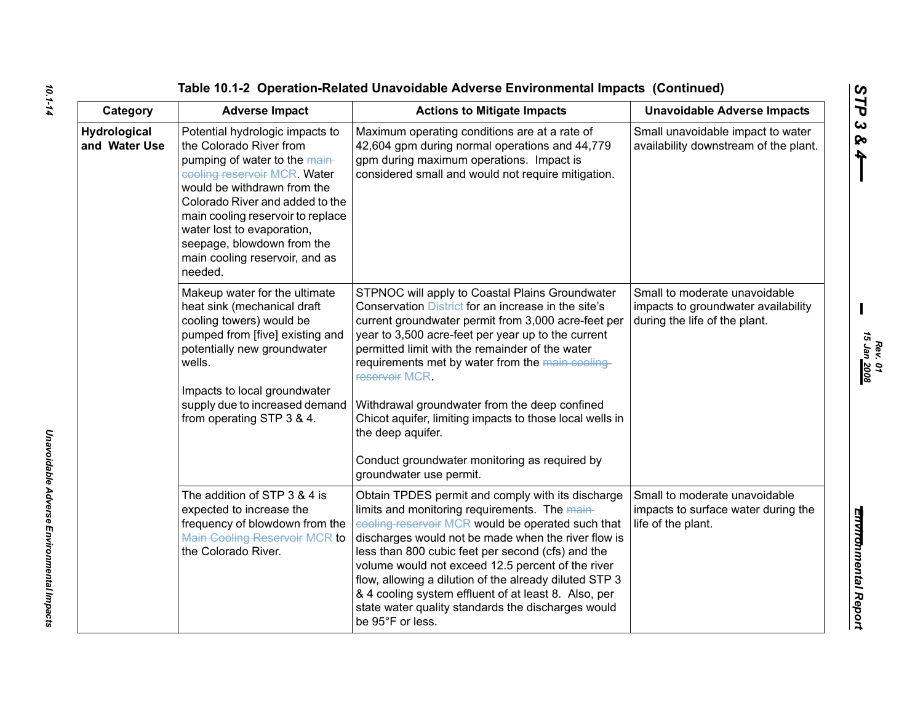| Category                      | <b>Adverse Impact</b>                                                                                                                                                                                                                                                                                                                       | <b>Actions to Mitigate Impacts</b>                                                                                                                                                                                                                                                                                                                                                                                                                                                                                                                        | <b>Unavoidable Adverse Impacts</b>                                                                    |
|-------------------------------|---------------------------------------------------------------------------------------------------------------------------------------------------------------------------------------------------------------------------------------------------------------------------------------------------------------------------------------------|-----------------------------------------------------------------------------------------------------------------------------------------------------------------------------------------------------------------------------------------------------------------------------------------------------------------------------------------------------------------------------------------------------------------------------------------------------------------------------------------------------------------------------------------------------------|-------------------------------------------------------------------------------------------------------|
| Hydrological<br>and Water Use | Potential hydrologic impacts to<br>the Colorado River from<br>pumping of water to the main-<br>cooling reservoir MCR. Water<br>would be withdrawn from the<br>Colorado River and added to the<br>main cooling reservoir to replace<br>water lost to evaporation,<br>seepage, blowdown from the<br>main cooling reservoir, and as<br>needed. | Maximum operating conditions are at a rate of<br>42,604 gpm during normal operations and 44,779<br>gpm during maximum operations. Impact is<br>considered small and would not require mitigation.                                                                                                                                                                                                                                                                                                                                                         | Small unavoidable impact to water<br>availability downstream of the plant.                            |
|                               | Makeup water for the ultimate<br>heat sink (mechanical draft<br>cooling towers) would be<br>pumped from [five] existing and<br>potentially new groundwater<br>wells.<br>Impacts to local groundwater<br>supply due to increased demand<br>from operating STP 3 & 4.                                                                         | STPNOC will apply to Coastal Plains Groundwater<br>Conservation District for an increase in the site's<br>current groundwater permit from 3,000 acre-feet per<br>year to 3,500 acre-feet per year up to the current<br>permitted limit with the remainder of the water<br>requirements met by water from the main cooling<br>reservoir MCR.<br>Withdrawal groundwater from the deep confined<br>Chicot aquifer, limiting impacts to those local wells in<br>the deep aquifer.<br>Conduct groundwater monitoring as required by<br>groundwater use permit. | Small to moderate unavoidable<br>impacts to groundwater availability<br>during the life of the plant. |
|                               | The addition of STP 3 & 4 is<br>expected to increase the<br>frequency of blowdown from the<br><b>Main Cooling Reservoir MCR to</b><br>the Colorado River.                                                                                                                                                                                   | Obtain TPDES permit and comply with its discharge<br>limits and monitoring requirements. The main-<br>cooling reservoir MCR would be operated such that<br>discharges would not be made when the river flow is<br>less than 800 cubic feet per second (cfs) and the<br>volume would not exceed 12.5 percent of the river<br>flow, allowing a dilution of the already diluted STP 3<br>& 4 cooling system effluent of at least 8. Also, per<br>state water quality standards the discharges would<br>be 95°F or less.                                      | Small to moderate unavoidable<br>impacts to surface water during the<br>life of the plant.            |

*Rev. 01*<br>15 Jan <u>2008</u> *15 Jan 2008*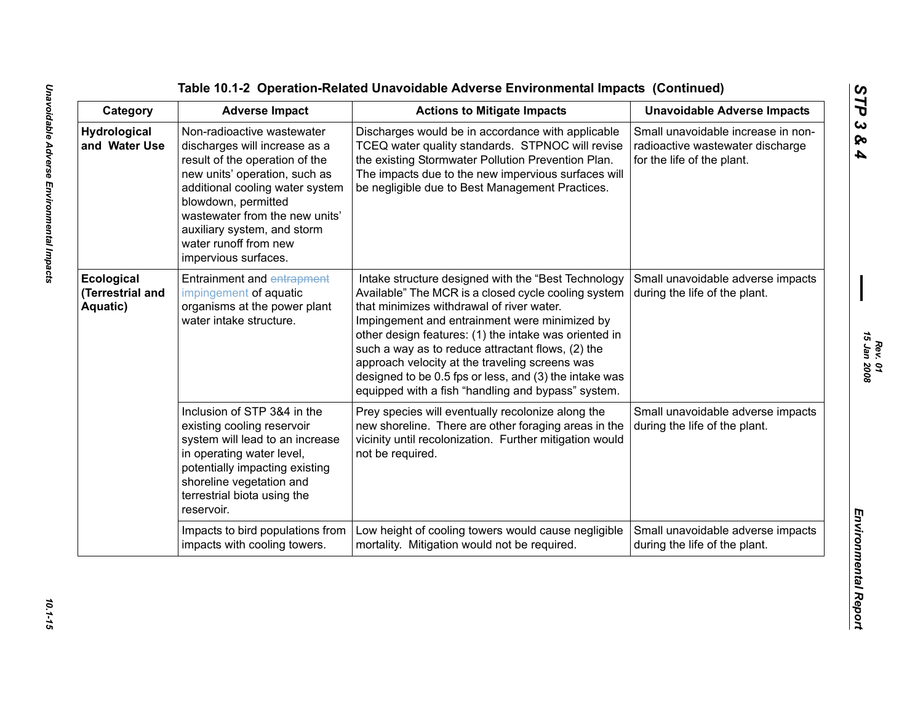| Category                                   | <b>Adverse Impact</b>                                                                                                                                                                                                                                                                                      | <b>Actions to Mitigate Impacts</b>                                                                                                                                                                                                                                                                                                                                                                                                                                                       | <b>Unavoidable Adverse Impacts</b>                                                                   |
|--------------------------------------------|------------------------------------------------------------------------------------------------------------------------------------------------------------------------------------------------------------------------------------------------------------------------------------------------------------|------------------------------------------------------------------------------------------------------------------------------------------------------------------------------------------------------------------------------------------------------------------------------------------------------------------------------------------------------------------------------------------------------------------------------------------------------------------------------------------|------------------------------------------------------------------------------------------------------|
| <b>Hydrological</b><br>and Water Use       | Non-radioactive wastewater<br>discharges will increase as a<br>result of the operation of the<br>new units' operation, such as<br>additional cooling water system<br>blowdown, permitted<br>wastewater from the new units'<br>auxiliary system, and storm<br>water runoff from new<br>impervious surfaces. | Discharges would be in accordance with applicable<br>TCEQ water quality standards. STPNOC will revise<br>the existing Stormwater Pollution Prevention Plan.<br>The impacts due to the new impervious surfaces will<br>be negligible due to Best Management Practices.                                                                                                                                                                                                                    | Small unavoidable increase in non-<br>radioactive wastewater discharge<br>for the life of the plant. |
| Ecological<br>(Terrestrial and<br>Aquatic) | <b>Entrainment and entrapment</b><br>impingement of aquatic<br>organisms at the power plant<br>water intake structure.                                                                                                                                                                                     | Intake structure designed with the "Best Technology<br>Available" The MCR is a closed cycle cooling system<br>that minimizes withdrawal of river water.<br>Impingement and entrainment were minimized by<br>other design features: (1) the intake was oriented in<br>such a way as to reduce attractant flows, (2) the<br>approach velocity at the traveling screens was<br>designed to be 0.5 fps or less, and (3) the intake was<br>equipped with a fish "handling and bypass" system. | Small unavoidable adverse impacts<br>during the life of the plant.                                   |
|                                            | Inclusion of STP 3&4 in the<br>existing cooling reservoir<br>system will lead to an increase<br>in operating water level,<br>potentially impacting existing<br>shoreline vegetation and<br>terrestrial biota using the<br>reservoir.                                                                       | Prey species will eventually recolonize along the<br>new shoreline. There are other foraging areas in the<br>vicinity until recolonization. Further mitigation would<br>not be required.                                                                                                                                                                                                                                                                                                 | Small unavoidable adverse impacts<br>during the life of the plant.                                   |
|                                            | Impacts to bird populations from<br>impacts with cooling towers.                                                                                                                                                                                                                                           | Low height of cooling towers would cause negligible<br>mortality. Mitigation would not be required.                                                                                                                                                                                                                                                                                                                                                                                      | Small unavoidable adverse impacts<br>during the life of the plant.                                   |

10.1-15

*Rev. 01*<br>15 Jan 2008 *15 Jan 2008*